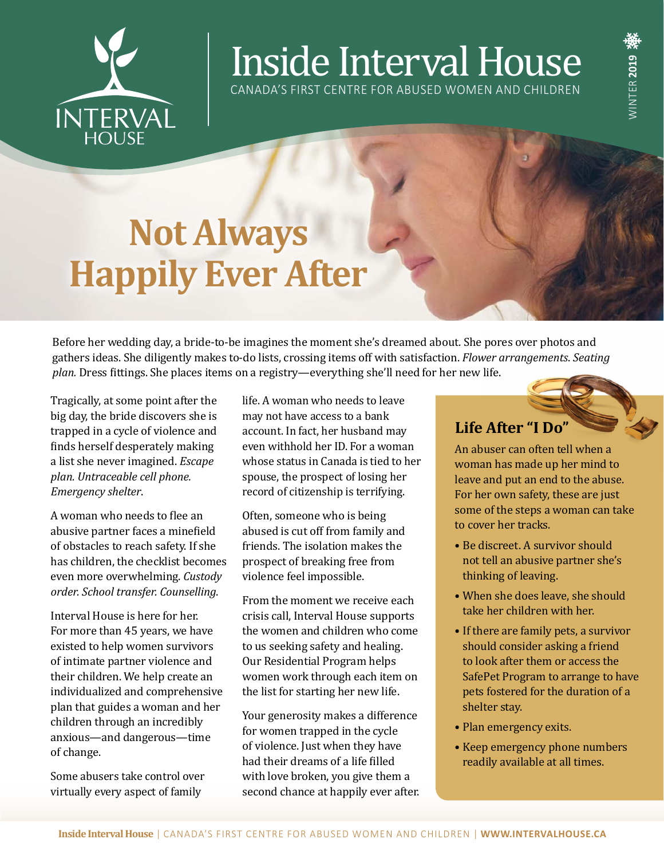

# Inside Interval House

CANADA'S FIRST CENTRE FOR ABUSED WOMEN AND CHILDREN

## **Not Always Happily Ever After**

Before her wedding day, a bride-to-be imagines the moment she's dreamed about. She pores over photos and gathers ideas. She diligently makes to-do lists, crossing items off with satisfaction. *Flower arrangements*. *Seating plan.* Dress fittings. She places items on a registry—everything she'll need for her new life.

Tragically, at some point after the big day, the bride discovers she is trapped in a cycle of violence and finds herself desperately making a list she never imagined. *Escape plan. Untraceable cell phone. Emergency shelter*.

A woman who needs to flee an abusive partner faces a minefield of obstacles to reach safety. If she has children, the checklist becomes even more overwhelming. *Custody order. School transfer. Counselling*.

Interval House is here for her. For more than 45 years, we have existed to help women survivors of intimate partner violence and their children. We help create an individualized and comprehensive plan that guides a woman and her children through an incredibly anxious—and dangerous—time of change.

Some abusers take control over virtually every aspect of family

life. A woman who needs to leave may not have access to a bank account. In fact, her husband may even withhold her ID. For a woman whose status in Canada is tied to her spouse, the prospect of losing her record of citizenship is terrifying.

Often, someone who is being abused is cut off from family and friends. The isolation makes the prospect of breaking free from violence feel impossible.

From the moment we receive each crisis call, Interval House supports the women and children who come to us seeking safety and healing. Our Residential Program helps women work through each item on the list for starting her new life.

Your generosity makes a difference for women trapped in the cycle of violence. Just when they have had their dreams of a life filled with love broken, you give them a second chance at happily ever after.

#### **Life After "I Do"**

An abuser can often tell when a woman has made up her mind to leave and put an end to the abuse. For her own safety, these are just some of the steps a woman can take to cover her tracks.

- Be discreet. A survivor should not tell an abusive partner she's thinking of leaving.
- When she does leave, she should take her children with her.
- If there are family pets, a survivor should consider asking a friend to look after them or access the SafePet Program to arrange to have pets fostered for the duration of a shelter stay.
- Plan emergency exits.
- Keep emergency phone numbers readily available at all times.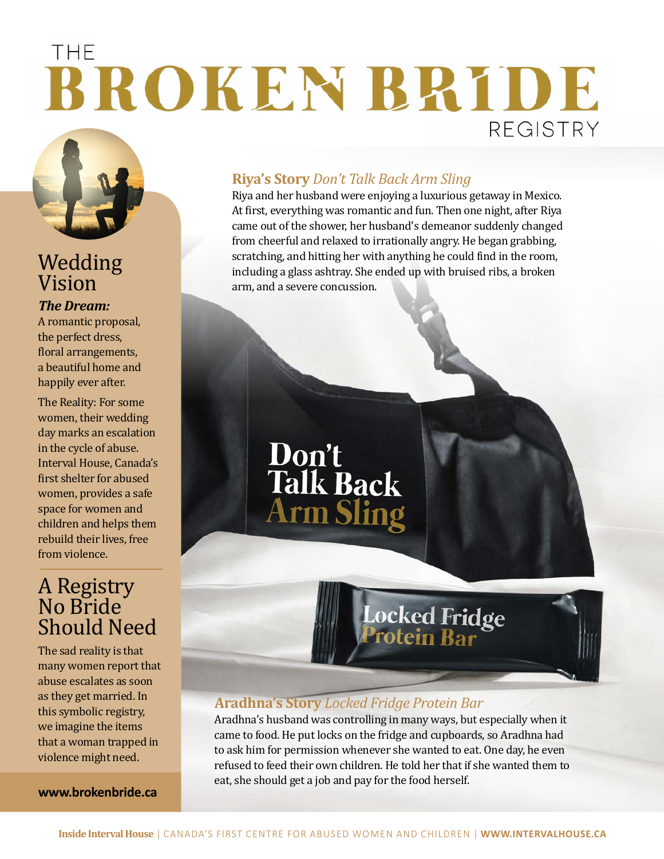## THE BROKEN BRIDE **REGISTRY**



### Wedding Vision

*The Dream:*  A romantic proposal, the perfect dress, floral arrangements, a beautiful home and happily ever after.

The Reality: For some women, their wedding day marks an escalation in the cycle of abuse. Interval House, Canada's first shelter for abused women, provides a safe space for women and children and helps them rebuild their lives, free from violence.

### A Registry No Bride<br>Clare Should Need

The sad reality is that many women report that abuse escalates as soon as they get married. In this symbolic registry, we imagine the items that a woman trapped in violence might need.

**www.brokenbride.ca**

#### **Riya's Story** *Don't Talk Back Arm Sling*

Riya and her husband were enjoying a luxurious getaway in Mexico. At first, everything was romantic and fun. Then one night, after Riya came out of the shower, her husband's demeanor suddenly changed from cheerful and relaxed to irrationally angry. He began grabbing, scratching, and hitting her with anything he could find in the room, including a glass ashtray. She ended up with bruised ribs, a broken arm, and a severe concussion.

**Don't<br>Talk Back<br>Arm Sling** 

### **Aradhna's Story** *Locked Fridge Protein Bar*

Aradhna's husband was controlling in many ways, but especially when it came to food. He put locks on the fridge and cupboards, so Aradhna had to ask him for permission whenever she wanted to eat. One day, he even refused to feed their own children. He told her that if she wanted them to eat, she should get a job and pay for the food herself.

Locked Fridge<br>Protein Bar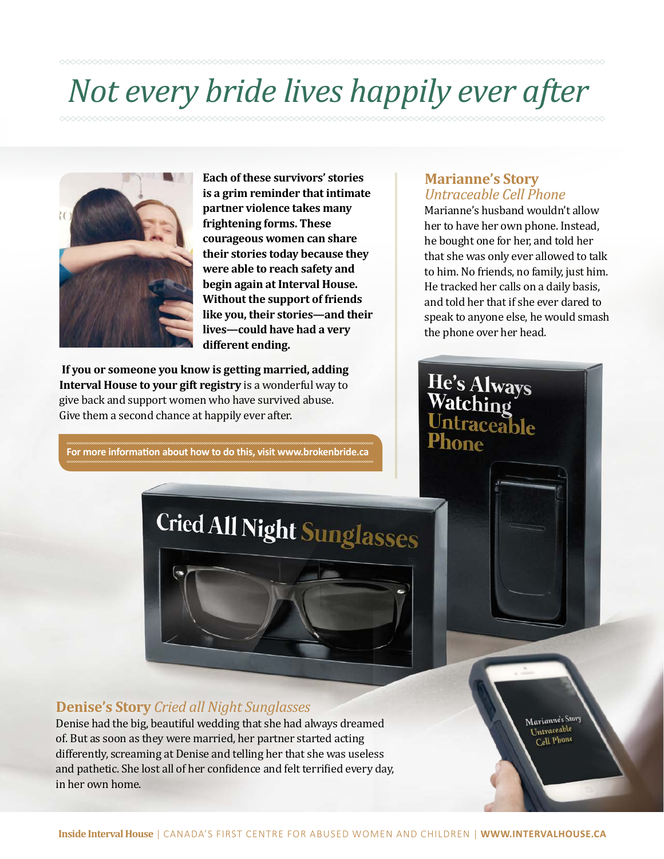## *Not every bride lives happily ever after*



**Each of these survivors' stories is a grim reminder that intimate partner violence takes many frightening forms. These courageous women can share their stories today because they were able to reach safety and begin again at Interval House. Without the support of friends like you, their stories—and their lives—could have had a very different ending.**

 **If you or someone you know is getting married, adding Interval House to your gift registry** is a wonderful way to give back and support women who have survived abuse. Give them a second chance at happily ever after.

**For more information about how to do this, visit www.brokenbride.ca**

## Cried All Night Sunglasses

#### **Marianne's Story**  *Untraceable Cell Phone*

He's Always Watching

ntraceable

Marianne's husband wouldn't allow her to have her own phone. Instead, he bought one for her, and told her that she was only ever allowed to talk to him. No friends, no family, just him. He tracked her calls on a daily basis, and told her that if she ever dared to speak to anyone else, he would smash the phone over her head.

> Marianne's Story Untraceable Cell Phone

#### **Denise's Story** *Cried all Night Sunglasses*

Denise had the big, beautiful wedding that she had always dreamed of. But as soon as they were married, her partner started acting differently, screaming at Denise and telling her that she was useless and pathetic. She lost all of her confidence and felt terrified every day, in her own home.